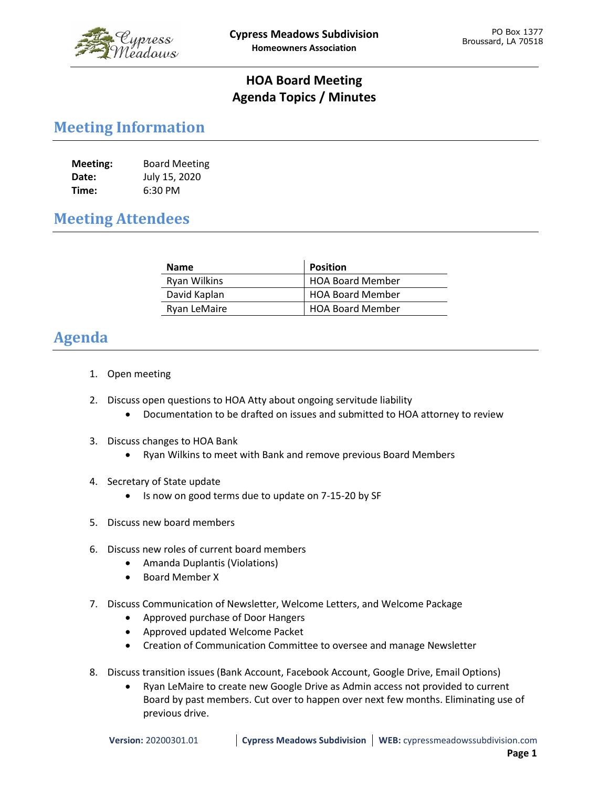

## **HOA Board Meeting Agenda Topics / Minutes**

## **Meeting Information**

| Meeting: | <b>Board Meeting</b> |
|----------|----------------------|
| Date:    | July 15, 2020        |
| Time:    | 6:30 PM              |

## **Meeting Attendees**

| <b>Name</b>         | <b>Position</b>         |
|---------------------|-------------------------|
| <b>Ryan Wilkins</b> | <b>HOA Board Member</b> |
| David Kaplan        | <b>HOA Board Member</b> |
| Ryan LeMaire        | <b>HOA Board Member</b> |

## **Agenda**

- 1. Open meeting
- 2. Discuss open questions to HOA Atty about ongoing servitude liability
	- Documentation to be drafted on issues and submitted to HOA attorney to review
- 3. Discuss changes to HOA Bank
	- Ryan Wilkins to meet with Bank and remove previous Board Members
- 4. Secretary of State update
	- Is now on good terms due to update on 7-15-20 by SF
- 5. Discuss new board members
- 6. Discuss new roles of current board members
	- Amanda Duplantis (Violations)
	- Board Member X
- 7. Discuss Communication of Newsletter, Welcome Letters, and Welcome Package
	- Approved purchase of Door Hangers
	- Approved updated Welcome Packet
	- Creation of Communication Committee to oversee and manage Newsletter
- 8. Discuss transition issues (Bank Account, Facebook Account, Google Drive, Email Options)
	- Ryan LeMaire to create new Google Drive as Admin access not provided to current Board by past members. Cut over to happen over next few months. Eliminating use of previous drive.